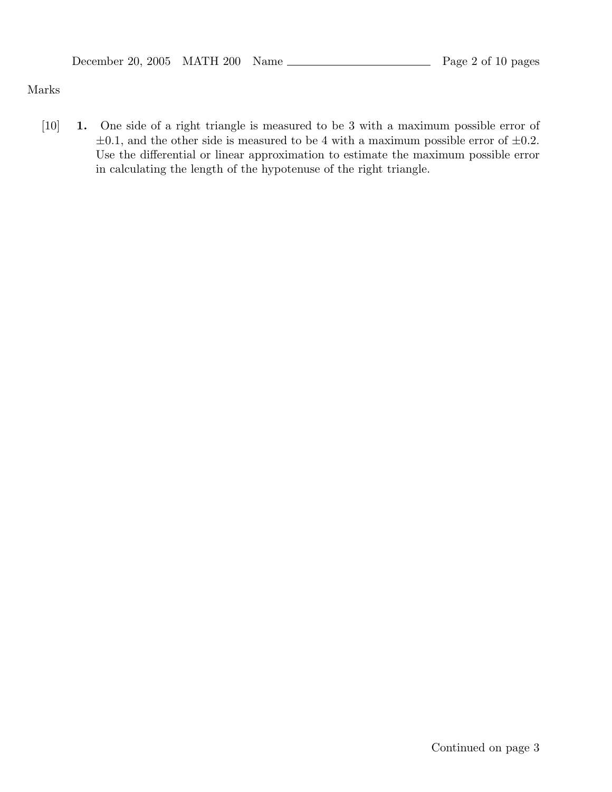#### Marks

[10] **1.** One side of a right triangle is measured to be 3 with a maximum possible error of  $\pm 0.1$ , and the other side is measured to be 4 with a maximum possible error of  $\pm 0.2$ . Use the differential or linear approximation to estimate the maximum possible error in calculating the length of the hypotenuse of the right triangle.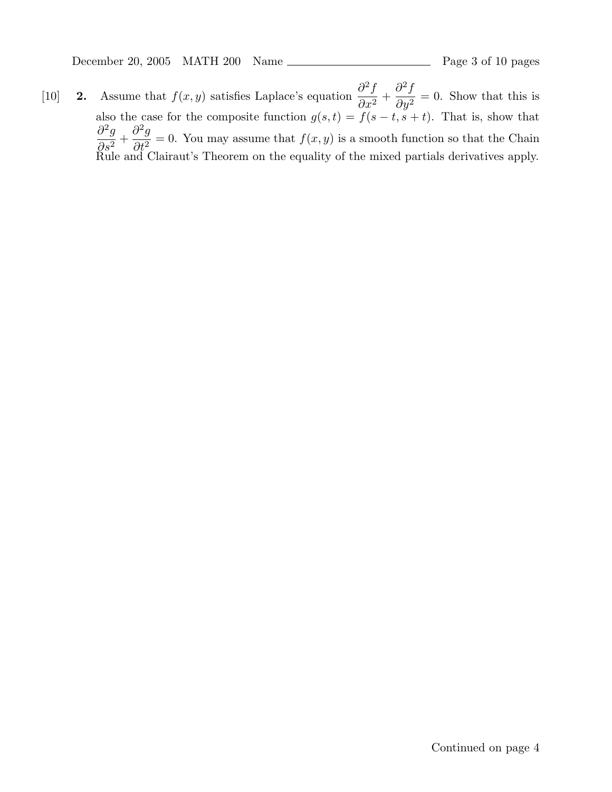December 20, 2005 MATH 200 Name Page 3 of 10 pages

[10] **2.** Assume that  $f(x, y)$  satisfies Laplace's equation  $\frac{\partial^2 f}{\partial x^2}$  $rac{\partial}{\partial x^2} +$  $\partial^2 f$  $\frac{\partial^2 y}{\partial y^2} = 0$ . Show that this is also the case for the composite function  $g(s, t) = f(s - t, s + t)$ . That is, show that  $\partial^2 g$  $\frac{\partial}{\partial s^2} +$  $\partial^2 g$  $\frac{\partial^2 g}{\partial t^2} = 0$ . You may assume that  $f(x, y)$  is a smooth function so that the Chain Rule and Clairaut's Theorem on the equality of the mixed partials derivatives apply.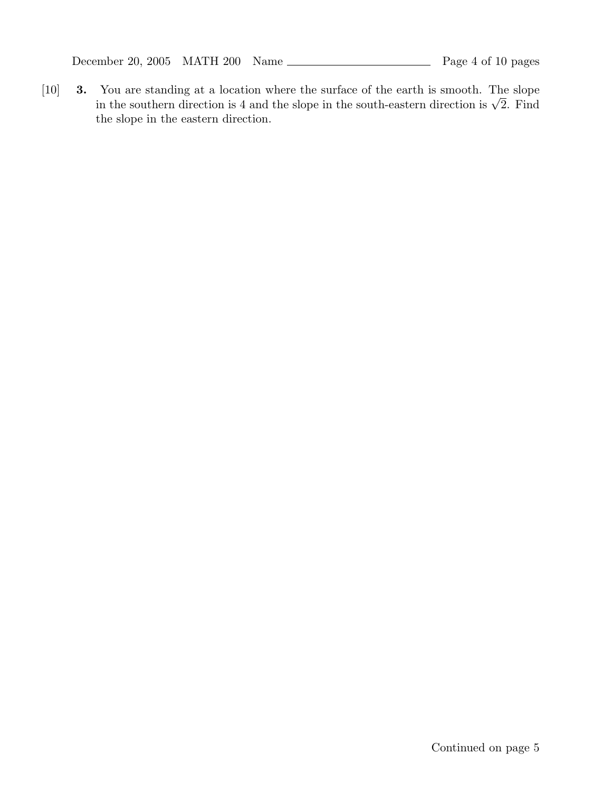December 20, 2005 MATH 200 Name Page 4 of 10 pages

[10] **3.** You are standing at a location where the surface of the earth is smooth. The slope in the southern direction is 4 and the slope in the south-eastern direction is  $\sqrt{2}$ . Find the slope in the eastern direction.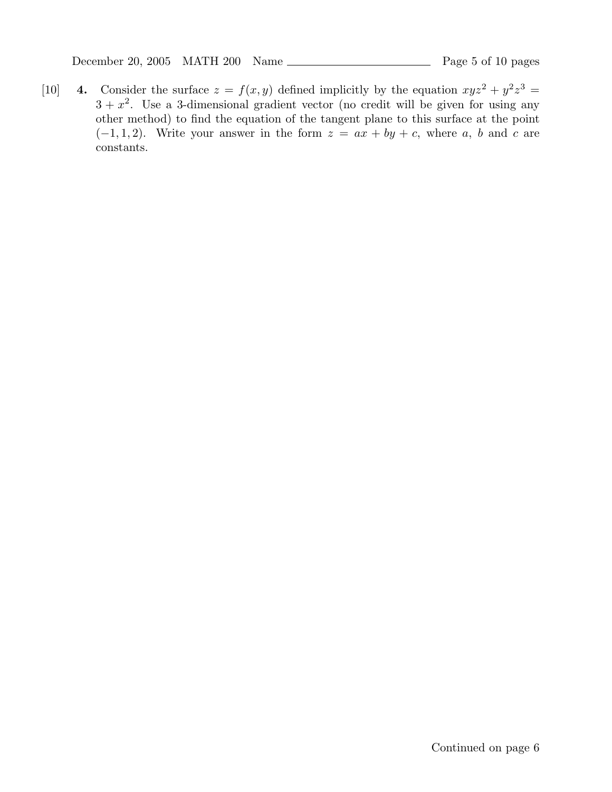December 20, 2005 MATH 200 Name Page 5 of 10 pages

[10] **4.** Consider the surface  $z = f(x, y)$  defined implicitly by the equation  $xyz^2 + y^2z^3 =$  $3 + x<sup>2</sup>$ . Use a 3-dimensional gradient vector (no credit will be given for using any other method) to find the equation of the tangent plane to this surface at the point  $(-1, 1, 2)$ . Write your answer in the form  $z = ax + by + c$ , where a, b and c are constants.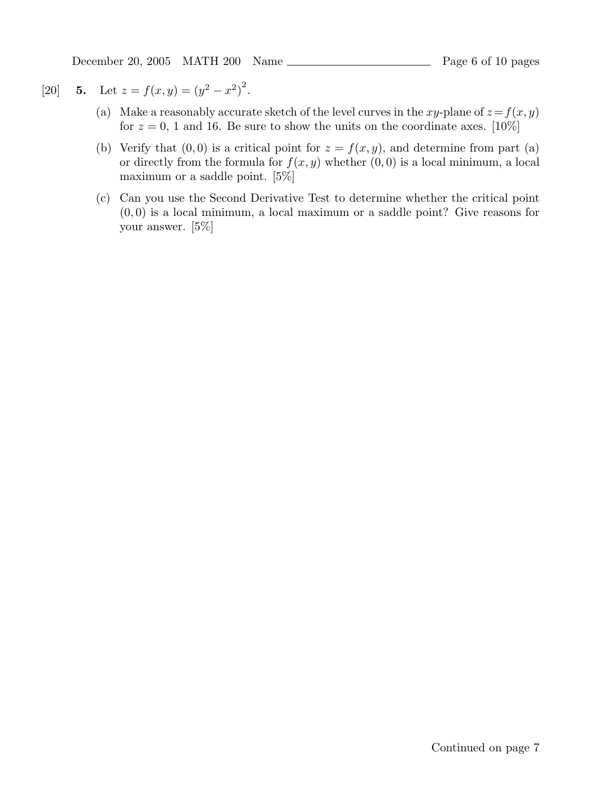December 20, 2005 MATH 200 Name Page 6 of 10 pages

# [20] **5.** Let  $z = f(x, y) = (y^2 - x^2)^2$ .

- (a) Make a reasonably accurate sketch of the level curves in the xy-plane of  $z = f(x, y)$ for  $z = 0$ , 1 and 16. Be sure to show the units on the coordinate axes. [10%]
- (b) Verify that  $(0, 0)$  is a critical point for  $z = f(x, y)$ , and determine from part (a) or directly from the formula for  $f(x, y)$  whether  $(0, 0)$  is a local minimum, a local maximum or a saddle point. [5%]
- (c) Can you use the Second Derivative Test to determine whether the critical point  $(0, 0)$  is a local minimum, a local maximum or a saddle point? Give reasons for your answer. [5%]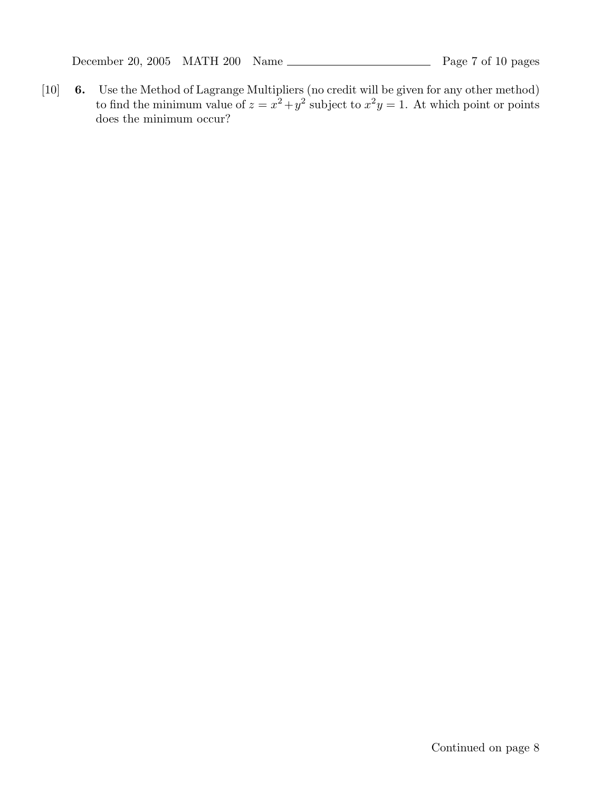December 20, 2005 MATH 200 Name Page 7 of 10 pages

[10] **6.** Use the Method of Lagrange Multipliers (no credit will be given for any other method) to find the minimum value of  $z = x^2 + y^2$  subject to  $x^2y = 1$ . At which point or points does the minimum occur?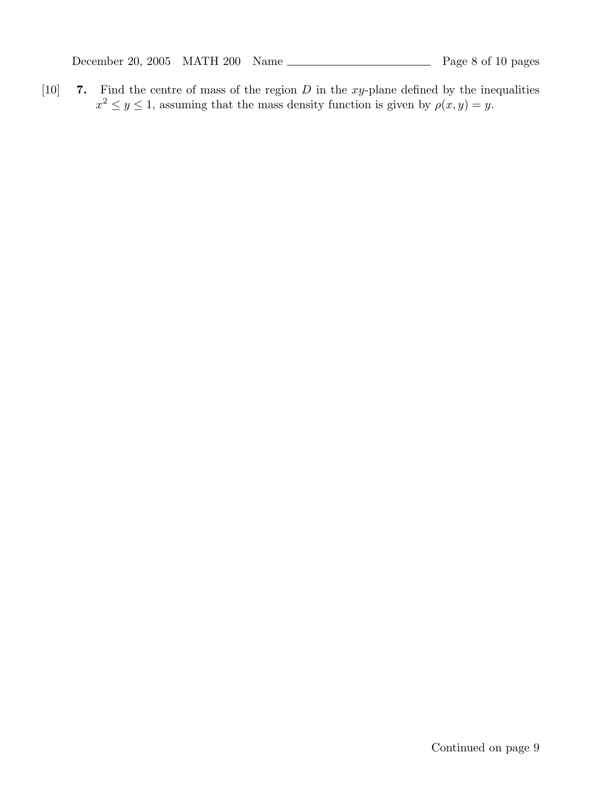December 20, 2005 MATH 200 Name Page 8 of 10 pages

[10] **7.** Find the centre of mass of the region D in the xy-plane defined by the inequalities  $x^2 \le y \le 1$ , assuming that the mass density function is given by  $\rho(x, y) = y$ .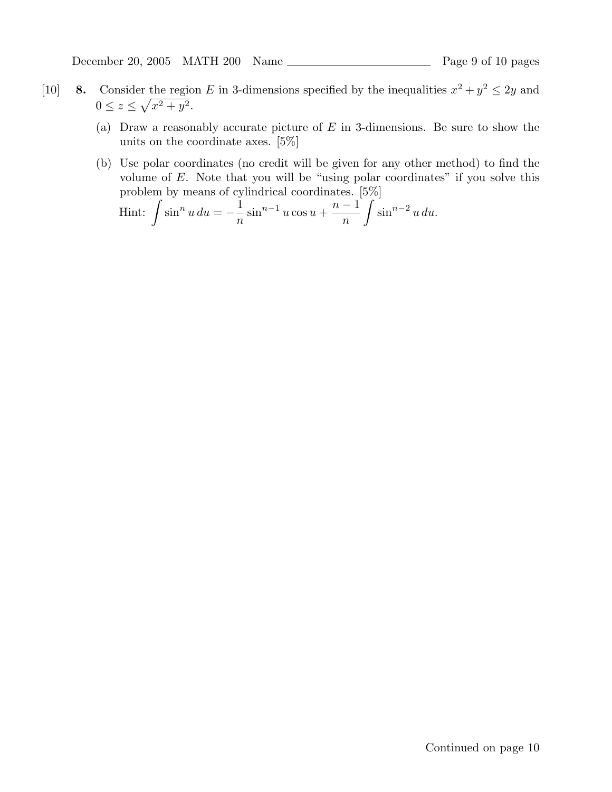December 20, 2005 MATH 200 Name Page 9 of 10 pages

- [10] **8.** Consider the region E in 3-dimensions specified by the inequalities  $x^2 + y^2 \le 2y$  and  $0 \leq z \leq \sqrt{x^2 + y^2}.$ 
	- (a) Draw a reasonably accurate picture of  $E$  in 3-dimensions. Be sure to show the units on the coordinate axes. [5%]
	- (b) Use polar coordinates (no credit will be given for any other method) to find the volume of E. Note that you will be "using polar coordinates" if you solve this problem by means of cylindrical coordinates. [5%]

Hint: 
$$
\int \sin^n u \, du = -\frac{1}{n} \sin^{n-1} u \cos u + \frac{n-1}{n} \int \sin^{n-2} u \, du.
$$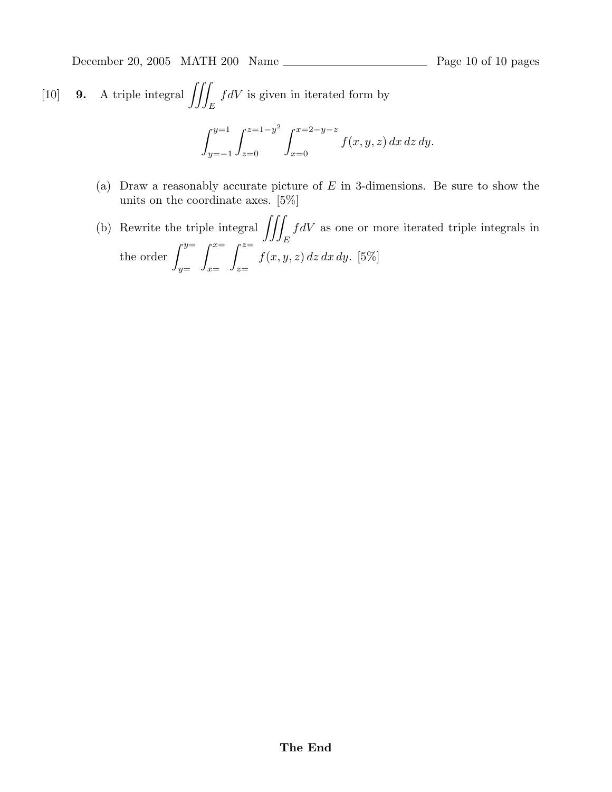December 20, 2005 MATH 200 Name Page 10 of 10 pages

[10] **9.** A triple integral 
$$
\iiint_E f dV
$$
 is given in iterated form by  

$$
\int_{y=-1}^{y=1} \int_{z=0}^{z=1-y^2} \int_{x=0}^{x=2-y-z} f(x, y, z) dx dz dy.
$$

- (a) Draw a reasonably accurate picture of  $E$  in 3-dimensions. Be sure to show the units on the coordinate axes. [5%]
- (b) Rewrite the triple integral  $\iint$ *E*  $fdV$  as one or more iterated triple integrals in the order  $\int_{0}^{y=x}$ *y*=  $\int_0^x$ *x*=  $\int_0^z$ *z*=  $f(x, y, z) dz dx dy$ . [5%]